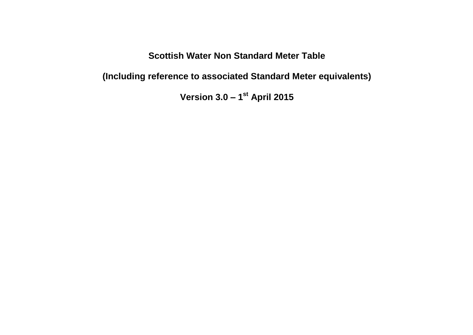## **Scottish Water Non Standard Meter Table**

**(Including reference to associated Standard Meter equivalents)**

**Version 3.0 – 1 st April 2015**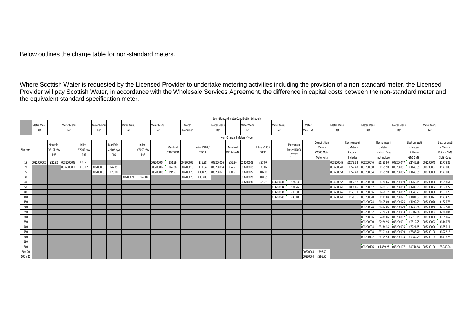Below outlines the charge table for non-standard meters.

Where Scottish Water is requested by the Licensed Provider to undertake metering activities including the provision of a non-standard meter, the Licensed Provider will pay Scottish Water, in accordance with the Wholesale Services Agreement, the difference in capital costs between the non-standard meter and

|                                            | the equivalent standard specification meter. |                              |            |                             |            |                              |                   |                  |            |            |           |               |            |           |            |              |            |                       |          |             |            |               |                        |                      |                      |                      |                        |                      |
|--------------------------------------------|----------------------------------------------|------------------------------|------------|-----------------------------|------------|------------------------------|-------------------|------------------|------------|------------|-----------|---------------|------------|-----------|------------|--------------|------------|-----------------------|----------|-------------|------------|---------------|------------------------|----------------------|----------------------|----------------------|------------------------|----------------------|
|                                            |                                              |                              |            |                             |            |                              |                   |                  |            |            |           |               |            |           |            |              |            |                       |          |             |            |               |                        |                      |                      |                      |                        |                      |
| Non - Standard Meter Contribution Schedule |                                              |                              |            |                             |            |                              |                   |                  |            |            |           |               |            |           |            |              |            |                       |          |             |            |               |                        |                      |                      |                      |                        |                      |
|                                            | Meter Menu                                   |                              | Meter Menu |                             | Meter Menu |                              | Meter Menu        |                  | Meter Menu |            | Meter     |               | Meter Menu |           | Meter Menu |              | Meter Menu |                       | Meter    |             | Meter Menu |               | Meter Menu             |                      | Meter Menu           |                      | Meter Menu             |                      |
|                                            | Ref                                          |                              | Ref        |                             | Ref        |                              | Ref               |                  | Ref        |            | Menu Ref  |               | Ref        |           | Ref        |              | Ref        |                       | Menu Ref |             | Ref        |               | Ref                    |                      | Ref                  |                      | Ref                    |                      |
| Non - Standard Meters - Type               |                                              |                              |            |                             |            |                              |                   |                  |            |            |           |               |            |           |            |              |            |                       |          |             |            |               |                        |                      |                      |                      |                        |                      |
|                                            |                                              | Manifold                     |            |                             |            |                              |                   |                  |            |            |           |               |            |           |            |              |            |                       |          | Combination |            | Electromageti |                        | Electromageti        |                      | Electromaget         |                        | Electromageti        |
|                                            |                                              |                              |            | Inline -                    |            | Manifold                     |                   | Inline -         |            | Manifold   |           | Inline V200 / |            | Manifold  |            | Inline V200  |            | Mechanical            |          | Meter -     |            | c Meter       |                        | c Meter -            |                      | c Meter-             |                        | c Meter              |
| Size mm                                    |                                              | V210P c\w<br>PR <sub>6</sub> |            | V200Pc\w<br>PR <sub>6</sub> |            | V210P c\w<br>PR <sub>6</sub> |                   | V200P c\w<br>PR6 |            | V210/TPR11 |           | <b>TPR11</b>  |            | V210H AMR |            | <b>TPR11</b> |            | Meter H4000<br>/ TPR7 |          | C4000 Main  |            | Battery -     |                        | Mains - Does         |                      | Battery -            |                        | Mains - GMS          |
|                                            |                                              |                              |            |                             |            |                              |                   |                  |            |            |           |               |            |           |            |              |            |                       |          | Meter with  |            | Includes      |                        | not include          |                      | GMS SMS              |                        | SMS -Does            |
| 15                                         | 0032000002                                   | £32.92                       | 0032000003 | £37.21                      |            |                              |                   |                  | 003200004  | £52.69     | 003200005 | £56.98        | 003200006  | £52.80    | 003200008  | £57.09       |            |                       |          |             | 003200045  | £1243.33      | 003200046              | £1555.90             | 00320004             | £1445.39             | 003200048              | £1778.85             |
| 20                                         |                                              |                              | 0032000011 | £53.17                      | 003200010  | £47.39                       |                   |                  | 00320001   | £66.06     | 003200013 | £71.84        | 003200014  | £67.27    | 003200015  | £73.05       |            |                       |          |             | 003200049  | £1222.43      | 003200050              | £1555.90             | 00320005             | £1445.39             | 003200052              | £1778.85             |
| 25                                         |                                              |                              |            |                             | 003200018  | £73.90                       |                   |                  | 003200019  | £92.57     | 003200020 | £108.20       | 003200021  | £94.77    | 003200022  | £107.10      |            |                       |          |             | 003200053  | £1222.43      | 003200054              | £1555.90             | 003200055            | £1445.39             | 003200056              | £1778.85             |
| 30                                         |                                              |                              |            |                             |            |                              | 003200024 £165.18 |                  |            |            | 003200025 | £183.85       |            |           | 003200026  | £184.95      |            |                       |          |             |            |               |                        |                      |                      |                      |                        |                      |
| 40                                         |                                              |                              |            |                             |            |                              |                   |                  |            |            |           |               |            |           | 003200030  | £225.81      | 00320003:  | £178.53               |          |             | 00320005   | £1037.17      | 003200058              | £1370.66             | 003200059            | £1260.15             | 003200060              | £1593.61             |
| 50                                         |                                              |                              |            |                             |            |                              |                   |                  |            |            |           |               |            |           |            |              | 003200034  | £178.76               |          |             | 00320006   | £1066.85      | 003200062              | £1400.31             | 003200063            | £1289.91             | 003200064              | £1623.27             |
| 80                                         |                                              |                              |            |                             |            |                              |                   |                  |            |            |           |               |            |           |            |              | 00320003   | £217.50               |          |             | 003200065  | £1123.31      | 003200066              | £1456.77             | 003200067            | £1346.27             | 003200068              | £1679.73             |
| 100                                        |                                              |                              |            |                             |            |                              |                   |                  |            |            |           |               |            |           |            |              | 003200040  | £243.10               |          |             | 003200069  | £1178.36      | 003200070              | £1511.83             | 00320007             | £1401.32             | 003200072              | £1734.79             |
| 150                                        |                                              |                              |            |                             |            |                              |                   |                  |            |            |           |               |            |           |            |              |            |                       |          |             |            |               | 003200074              | £1605.00             | 003200075            | £1492.29             | 003200076              | £1825.76             |
| 200                                        |                                              |                              |            |                             |            |                              |                   |                  |            |            |           |               |            |           |            |              |            |                       |          |             |            |               | 003200078              | £1852.05             | 003200079            | £1739.34             | 003200080              | £2072.81             |
| 250                                        |                                              |                              |            |                             |            |                              |                   |                  |            |            |           |               |            |           |            |              |            |                       |          |             |            |               | 003200082              | £2120.28             | 003200083            | £2007.58             | 003200084              | £2341.04             |
| 300                                        |                                              |                              |            |                             |            |                              |                   |                  |            |            |           |               |            |           |            |              |            |                       |          |             |            |               | 003200086<br>003200090 | £2430.86             | 00320008<br>00320009 | £2318.15<br>£2812.25 | 003200088              | £2651.62             |
| 350<br>400                                 |                                              |                              |            |                             |            |                              |                   |                  |            |            |           |               |            |           |            |              |            |                       |          |             |            |               | 003200094              | £2924.96<br>£3334.35 | 003200095            | £3221.65             | 003200092<br>003200096 | £3145.71<br>£3555.11 |
| 450                                        |                                              |                              |            |                             |            |                              |                   |                  |            |            |           |               |            |           |            |              |            |                       |          |             |            |               | 003200098              | £3701.40             | 003200099            | £3588.70             | 003200100              | £3922.16             |
| 500                                        |                                              |                              |            |                             |            |                              |                   |                  |            |            |           |               |            |           |            |              |            |                       |          |             |            |               | 003200102              | £4195.50             | 003200103            | £4082.79             | 003200104              | £4416.26             |
| 550                                        |                                              |                              |            |                             |            |                              |                   |                  |            |            |           |               |            |           |            |              |            |                       |          |             |            |               |                        |                      |                      |                      |                        |                      |
| 600                                        |                                              |                              |            |                             |            |                              |                   |                  |            |            |           |               |            |           |            |              |            |                       |          |             |            |               | 003200106              | £4,859.28            | 003200107            | £4,746.58            | 003200106              | £5,080.04            |
| 80 x 20                                    |                                              |                              |            |                             |            |                              |                   |                  |            |            |           |               |            |           |            |              |            |                       | 00320004 | £797.50     |            |               |                        |                      |                      |                      |                        |                      |
| 100 x 20                                   |                                              |                              |            |                             |            |                              |                   |                  |            |            |           |               |            |           |            |              |            |                       | 00320004 | £896.50     |            |               |                        |                      |                      |                      |                        |                      |